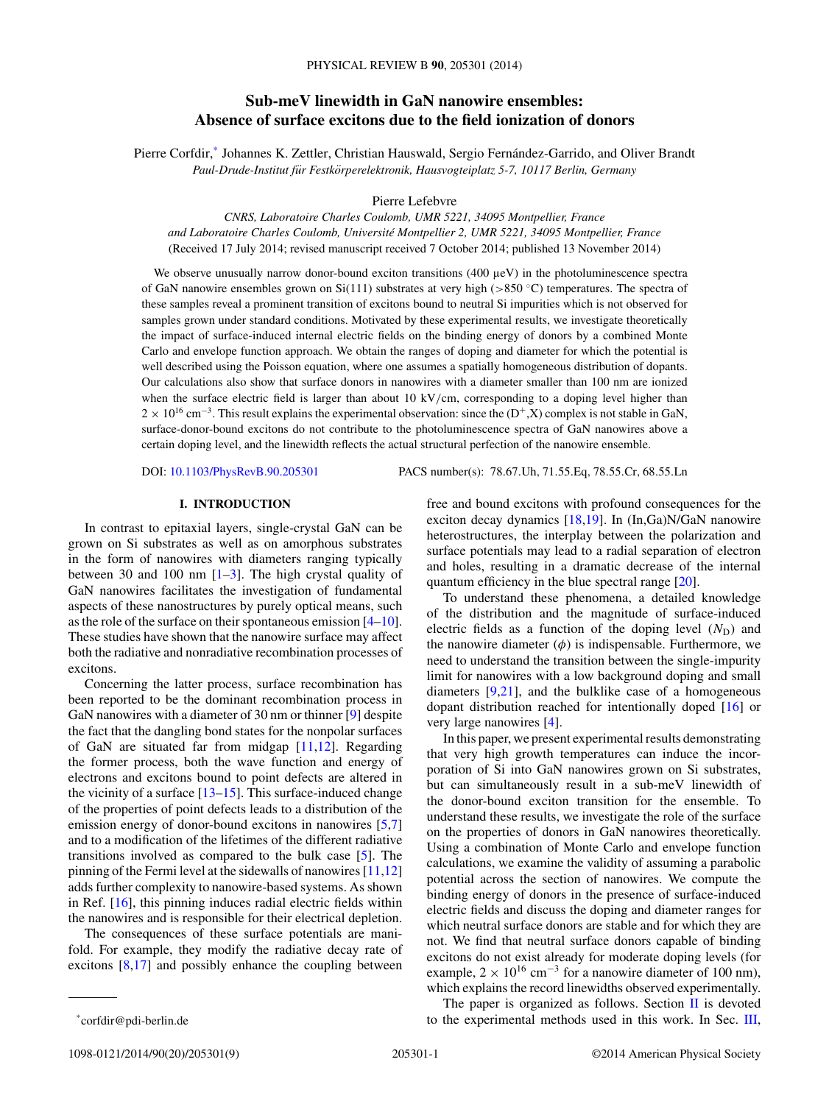# **Sub-meV linewidth in GaN nanowire ensembles: Absence of surface excitons due to the field ionization of donors**

Pierre Corfdir,<sup>\*</sup> Johannes K. Zettler, Christian Hauswald, Sergio Fernández-Garrido, and Oliver Brandt *Paul-Drude-Institut fur Festk ¨ orperelektronik, Hausvogteiplatz 5-7, 10117 Berlin, Germany ¨*

Pierre Lefebvre

*CNRS, Laboratoire Charles Coulomb, UMR 5221, 34095 Montpellier, France and Laboratoire Charles Coulomb, Universite Montpellier 2, UMR 5221, 34095 Montpellier, France ´* (Received 17 July 2014; revised manuscript received 7 October 2014; published 13 November 2014)

We observe unusually narrow donor-bound exciton transitions (400 µeV) in the photoluminescence spectra of GaN nanowire ensembles grown on Si(111) substrates at very high (*>*850 ◦C) temperatures. The spectra of these samples reveal a prominent transition of excitons bound to neutral Si impurities which is not observed for samples grown under standard conditions. Motivated by these experimental results, we investigate theoretically the impact of surface-induced internal electric fields on the binding energy of donors by a combined Monte Carlo and envelope function approach. We obtain the ranges of doping and diameter for which the potential is well described using the Poisson equation, where one assumes a spatially homogeneous distribution of dopants. Our calculations also show that surface donors in nanowires with a diameter smaller than 100 nm are ionized when the surface electric field is larger than about 10 kV/cm, corresponding to a doping level higher than  $2 \times 10^{16}$  cm<sup>-3</sup>. This result explains the experimental observation: since the (D<sup>+</sup>,X) complex is not stable in GaN, surface-donor-bound excitons do not contribute to the photoluminescence spectra of GaN nanowires above a certain doping level, and the linewidth reflects the actual structural perfection of the nanowire ensemble.

DOI: [10.1103/PhysRevB.90.205301](http://dx.doi.org/10.1103/PhysRevB.90.205301) PACS number(s): 78*.*67*.*Uh*,* 71*.*55*.*Eq*,* 78*.*55*.*Cr*,* 68*.*55*.*Ln

# **I. INTRODUCTION**

In contrast to epitaxial layers, single-crystal GaN can be grown on Si substrates as well as on amorphous substrates in the form of nanowires with diameters ranging typically between 30 and 100 nm  $[1-3]$ . The high crystal quality of GaN nanowires facilitates the investigation of fundamental aspects of these nanostructures by purely optical means, such as the role of the surface on their spontaneous emission [\[4–10\]](#page-7-0). These studies have shown that the nanowire surface may affect both the radiative and nonradiative recombination processes of excitons.

Concerning the latter process, surface recombination has been reported to be the dominant recombination process in GaN nanowires with a diameter of 30 nm or thinner [\[9\]](#page-7-0) despite the fact that the dangling bond states for the nonpolar surfaces of GaN are situated far from midgap  $[11,12]$ . Regarding the former process, both the wave function and energy of electrons and excitons bound to point defects are altered in the vicinity of a surface  $[13-15]$  $[13-15]$ . This surface-induced change of the properties of point defects leads to a distribution of the emission energy of donor-bound excitons in nanowires [\[5,7\]](#page-7-0) and to a modification of the lifetimes of the different radiative transitions involved as compared to the bulk case [\[5\]](#page-7-0). The pinning of the Fermi level at the sidewalls of nanowires [\[11,12\]](#page-7-0) adds further complexity to nanowire-based systems. As shown in Ref. [\[16\]](#page-8-0), this pinning induces radial electric fields within the nanowires and is responsible for their electrical depletion.

The consequences of these surface potentials are manifold. For example, they modify the radiative decay rate of excitons [\[8](#page-7-0)[,17\]](#page-8-0) and possibly enhance the coupling between

free and bound excitons with profound consequences for the exciton decay dynamics [\[18,19\]](#page-8-0). In (In,Ga)N/GaN nanowire heterostructures, the interplay between the polarization and surface potentials may lead to a radial separation of electron and holes, resulting in a dramatic decrease of the internal quantum efficiency in the blue spectral range [\[20\]](#page-8-0).

To understand these phenomena, a detailed knowledge of the distribution and the magnitude of surface-induced electric fields as a function of the doping level  $(N_D)$  and the nanowire diameter  $(\phi)$  is indispensable. Furthermore, we need to understand the transition between the single-impurity limit for nanowires with a low background doping and small diameters [\[9,](#page-7-0)[21\]](#page-8-0), and the bulklike case of a homogeneous dopant distribution reached for intentionally doped [\[16\]](#page-8-0) or very large nanowires [\[4\]](#page-7-0).

In this paper, we present experimental results demonstrating that very high growth temperatures can induce the incorporation of Si into GaN nanowires grown on Si substrates, but can simultaneously result in a sub-meV linewidth of the donor-bound exciton transition for the ensemble. To understand these results, we investigate the role of the surface on the properties of donors in GaN nanowires theoretically. Using a combination of Monte Carlo and envelope function calculations, we examine the validity of assuming a parabolic potential across the section of nanowires. We compute the binding energy of donors in the presence of surface-induced electric fields and discuss the doping and diameter ranges for which neutral surface donors are stable and for which they are not. We find that neutral surface donors capable of binding excitons do not exist already for moderate doping levels (for example,  $2 \times 10^{16}$  cm<sup>-3</sup> for a nanowire diameter of 100 nm), which explains the record linewidths observed experimentally.

The paper is organized as follows. Section  $\Pi$  is devoted to the experimental methods used in this work. In Sec. [III,](#page-1-0)

\*corfdir@pdi-berlin.de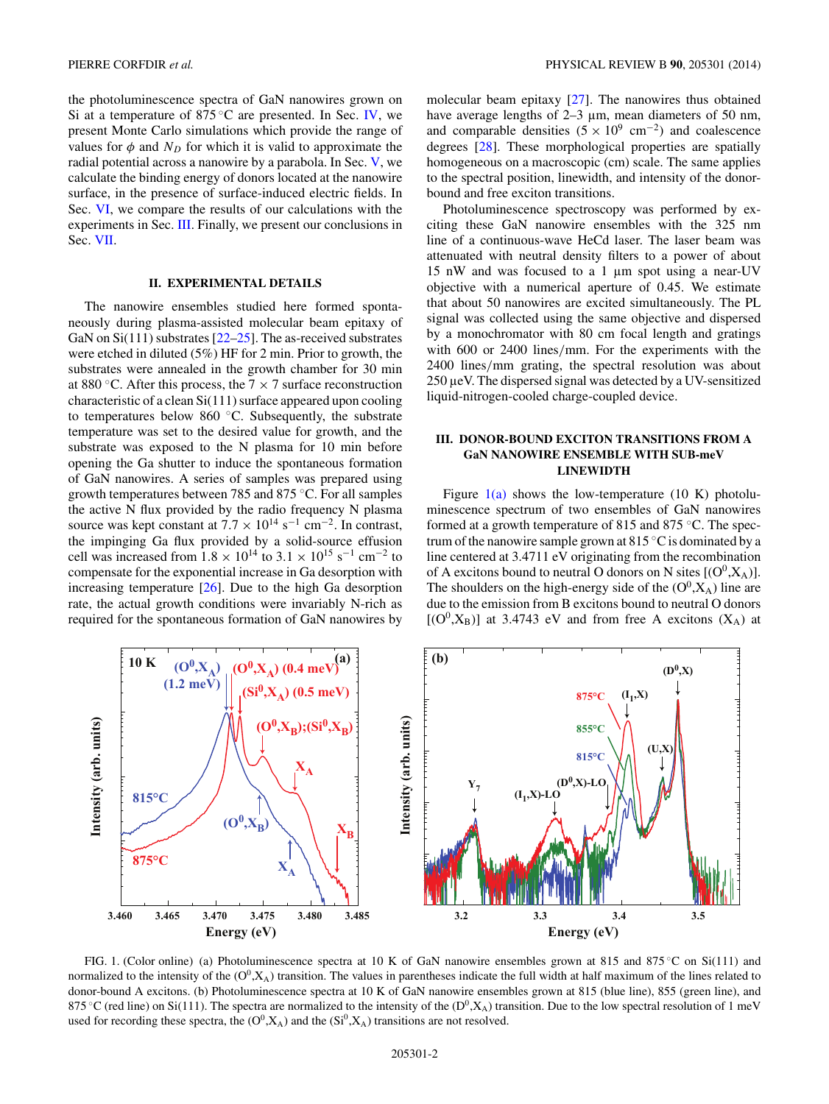<span id="page-1-0"></span>the photoluminescence spectra of GaN nanowires grown on Si at a temperature of  $875^{\circ}$ C are presented. In Sec. [IV,](#page-3-0) we present Monte Carlo simulations which provide the range of values for  $\phi$  and  $N_D$  for which it is valid to approximate the radial potential across a nanowire by a parabola. In Sec. [V,](#page-5-0) we calculate the binding energy of donors located at the nanowire surface, in the presence of surface-induced electric fields. In Sec. [VI,](#page-6-0) we compare the results of our calculations with the experiments in Sec. III. Finally, we present our conclusions in Sec. [VII.](#page-7-0)

# **II. EXPERIMENTAL DETAILS**

The nanowire ensembles studied here formed spontaneously during plasma-assisted molecular beam epitaxy of GaN on  $Si(111)$  substrates  $[22-25]$ . The as-received substrates were etched in diluted (5%) HF for 2 min. Prior to growth, the substrates were annealed in the growth chamber for 30 min at 880  $\degree$ C. After this process, the 7  $\times$  7 surface reconstruction characteristic of a clean Si(111) surface appeared upon cooling to temperatures below 860 ◦C. Subsequently, the substrate temperature was set to the desired value for growth, and the substrate was exposed to the N plasma for 10 min before opening the Ga shutter to induce the spontaneous formation of GaN nanowires. A series of samples was prepared using growth temperatures between 785 and 875 ◦C. For all samples the active N flux provided by the radio frequency N plasma source was kept constant at  $7.7 \times 10^{14}$  s<sup>-1</sup> cm<sup>-2</sup>. In contrast, the impinging Ga flux provided by a solid-source effusion cell was increased from  $1.8 \times 10^{14}$  to  $3.1 \times 10^{15}$  s<sup>-1</sup> cm<sup>-2</sup> to compensate for the exponential increase in Ga desorption with increasing temperature  $[26]$ . Due to the high Ga desorption rate, the actual growth conditions were invariably N-rich as required for the spontaneous formation of GaN nanowires by molecular beam epitaxy [\[27\]](#page-8-0). The nanowires thus obtained have average lengths of 2–3  $\mu$ m, mean diameters of 50 nm, and comparable densities  $(5 \times 10^{9} \text{ cm}^{-2})$  and coalescence degrees [\[28\]](#page-8-0). These morphological properties are spatially homogeneous on a macroscopic (cm) scale. The same applies to the spectral position, linewidth, and intensity of the donorbound and free exciton transitions.

Photoluminescence spectroscopy was performed by exciting these GaN nanowire ensembles with the 325 nm line of a continuous-wave HeCd laser. The laser beam was attenuated with neutral density filters to a power of about 15 nW and was focused to a 1 µm spot using a near-UV objective with a numerical aperture of 0.45. We estimate that about 50 nanowires are excited simultaneously. The PL signal was collected using the same objective and dispersed by a monochromator with 80 cm focal length and gratings with 600 or 2400 lines*/*mm. For the experiments with the 2400 lines*/*mm grating, the spectral resolution was about 250 µeV. The dispersed signal was detected by a UV-sensitized liquid-nitrogen-cooled charge-coupled device.

# **III. DONOR-BOUND EXCITON TRANSITIONS FROM A GaN NANOWIRE ENSEMBLE WITH SUB-meV LINEWIDTH**

Figure  $1(a)$  shows the low-temperature (10 K) photoluminescence spectrum of two ensembles of GaN nanowires formed at a growth temperature of 815 and 875 °C. The spectrum of the nanowire sample grown at  $815\textdegree C$  is dominated by a line centered at 3.4711 eV originating from the recombination of A excitons bound to neutral O donors on N sites  $[(O^0, X_A)].$ The shoulders on the high-energy side of the  $(O^0, X_A)$  line are due to the emission from B excitons bound to neutral O donors  $[(O^0, X_B)]$  at 3.4743 eV and from free A excitons  $(X_A)$  at



FIG. 1. (Color online) (a) Photoluminescence spectra at 10 K of GaN nanowire ensembles grown at 815 and 875 ◦C on Si(111) and normalized to the intensity of the  $(O^0, X_A)$  transition. The values in parentheses indicate the full width at half maximum of the lines related to donor-bound A excitons. (b) Photoluminescence spectra at 10 K of GaN nanowire ensembles grown at 815 (blue line), 855 (green line), and 875 °C (red line) on Si(111). The spectra are normalized to the intensity of the ( $D^0$ , $X_A$ ) transition. Due to the low spectral resolution of 1 meV used for recording these spectra, the  $(O^0, X_A)$  and the  $(Si^0, X_A)$  transitions are not resolved.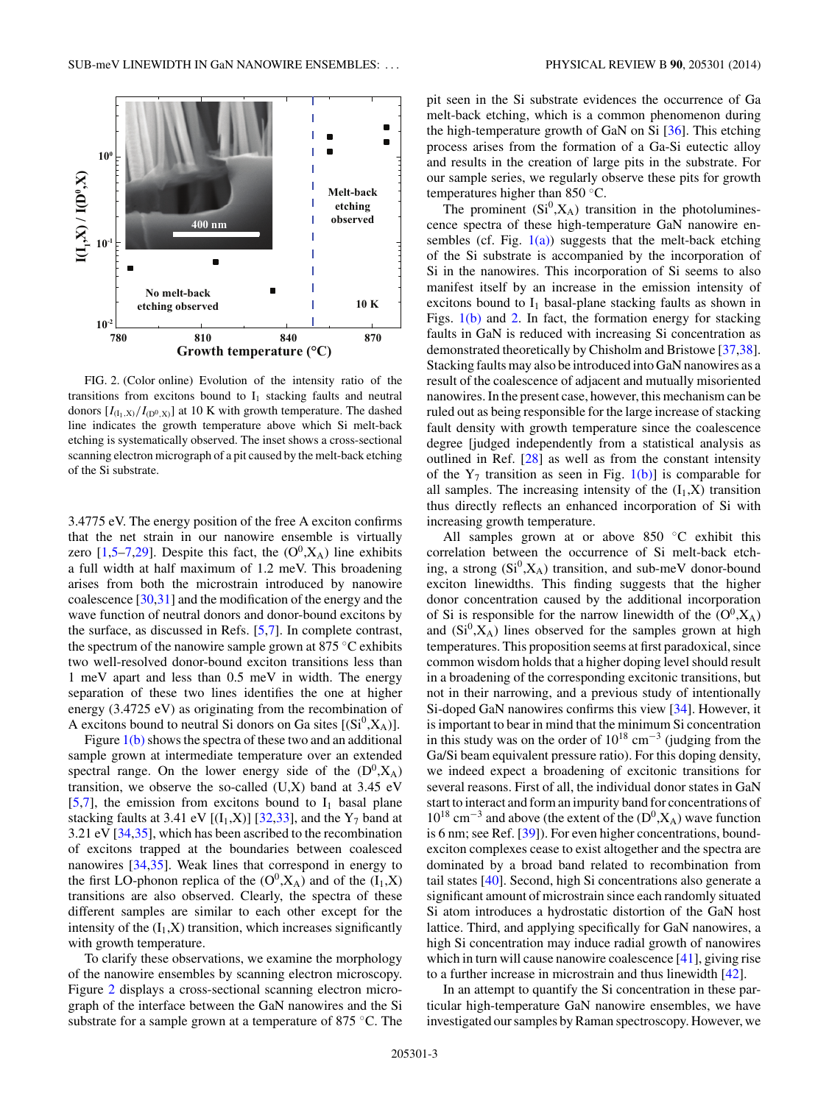

FIG. 2. (Color online) Evolution of the intensity ratio of the transitions from excitons bound to  $I_1$  stacking faults and neutral donors  $[I_{(I_1,X)}/I_{(D^0,X)}]$  at 10 K with growth temperature. The dashed line indicates the growth temperature above which Si melt-back etching is systematically observed. The inset shows a cross-sectional scanning electron micrograph of a pit caused by the melt-back etching of the Si substrate.

3.4775 eV. The energy position of the free A exciton confirms that the net strain in our nanowire ensemble is virtually zero  $[1,5-7,29]$  $[1,5-7,29]$ . Despite this fact, the  $(O<sup>0</sup>, X<sub>A</sub>)$  line exhibits a full width at half maximum of 1.2 meV. This broadening arises from both the microstrain introduced by nanowire coalescence [\[30,31\]](#page-8-0) and the modification of the energy and the wave function of neutral donors and donor-bound excitons by the surface, as discussed in Refs. [\[5,7\]](#page-7-0). In complete contrast, the spectrum of the nanowire sample grown at  $875^{\circ}$ C exhibits two well-resolved donor-bound exciton transitions less than 1 meV apart and less than 0.5 meV in width. The energy separation of these two lines identifies the one at higher energy (3.4725 eV) as originating from the recombination of A excitons bound to neutral Si donors on Ga sites  $[(Si^0, X_A)].$ 

Figure  $1(b)$  shows the spectra of these two and an additional sample grown at intermediate temperature over an extended spectral range. On the lower energy side of the  $(D^0, X_A)$ transition, we observe the so-called  $(U,X)$  band at 3.45 eV [\[5,7\]](#page-7-0), the emission from excitons bound to  $I_1$  basal plane stacking faults at 3.41 eV  $[(I_1,X)]$  [\[32,33\]](#page-8-0), and the Y<sub>7</sub> band at 3.21 eV [\[34,35\]](#page-8-0), which has been ascribed to the recombination of excitons trapped at the boundaries between coalesced nanowires [\[34,35\]](#page-8-0). Weak lines that correspond in energy to the first LO-phonon replica of the  $(O^0, X_A)$  and of the  $(I_1, X)$ transitions are also observed. Clearly, the spectra of these different samples are similar to each other except for the intensity of the  $(I_1, X)$  transition, which increases significantly with growth temperature.

To clarify these observations, we examine the morphology of the nanowire ensembles by scanning electron microscopy. Figure 2 displays a cross-sectional scanning electron micrograph of the interface between the GaN nanowires and the Si substrate for a sample grown at a temperature of 875 °C. The pit seen in the Si substrate evidences the occurrence of Ga melt-back etching, which is a common phenomenon during the high-temperature growth of GaN on Si  $[36]$ . This etching process arises from the formation of a Ga-Si eutectic alloy and results in the creation of large pits in the substrate. For our sample series, we regularly observe these pits for growth temperatures higher than 850 ◦C.

The prominent  $(Si^0, X_A)$  transition in the photoluminescence spectra of these high-temperature GaN nanowire ensembles (cf. Fig.  $1(a)$ ) suggests that the melt-back etching of the Si substrate is accompanied by the incorporation of Si in the nanowires. This incorporation of Si seems to also manifest itself by an increase in the emission intensity of excitons bound to  $I_1$  basal-plane stacking faults as shown in Figs.  $1(b)$  and 2. In fact, the formation energy for stacking faults in GaN is reduced with increasing Si concentration as demonstrated theoretically by Chisholm and Bristowe [\[37,38\]](#page-8-0). Stacking faults may also be introduced into GaN nanowires as a result of the coalescence of adjacent and mutually misoriented nanowires. In the present case, however, this mechanism can be ruled out as being responsible for the large increase of stacking fault density with growth temperature since the coalescence degree [judged independently from a statistical analysis as outlined in Ref. [\[28\]](#page-8-0) as well as from the constant intensity of the  $Y_7$  transition as seen in Fig. [1\(b\)\]](#page-1-0) is comparable for all samples. The increasing intensity of the  $(I_1,X)$  transition thus directly reflects an enhanced incorporation of Si with increasing growth temperature.

All samples grown at or above 850 ◦C exhibit this correlation between the occurrence of Si melt-back etching, a strong  $(Si^0, X_A)$  transition, and sub-meV donor-bound exciton linewidths. This finding suggests that the higher donor concentration caused by the additional incorporation of Si is responsible for the narrow linewidth of the  $(O^0, X_A)$ and  $(Si^0, X_A)$  lines observed for the samples grown at high temperatures. This proposition seems at first paradoxical, since common wisdom holds that a higher doping level should result in a broadening of the corresponding excitonic transitions, but not in their narrowing, and a previous study of intentionally Si-doped GaN nanowires confirms this view [\[34\]](#page-8-0). However, it is important to bear in mind that the minimum Si concentration in this study was on the order of  $10^{18}$  cm<sup>-3</sup> (judging from the Ga/Si beam equivalent pressure ratio). For this doping density, we indeed expect a broadening of excitonic transitions for several reasons. First of all, the individual donor states in GaN start to interact and form an impurity band for concentrations of  $10^{18}$  cm<sup>-3</sup> and above (the extent of the (D<sup>0</sup>,X<sub>A</sub>) wave function is 6 nm; see Ref. [\[39\]](#page-8-0)). For even higher concentrations, boundexciton complexes cease to exist altogether and the spectra are dominated by a broad band related to recombination from tail states [\[40\]](#page-8-0). Second, high Si concentrations also generate a significant amount of microstrain since each randomly situated Si atom introduces a hydrostatic distortion of the GaN host lattice. Third, and applying specifically for GaN nanowires, a high Si concentration may induce radial growth of nanowires which in turn will cause nanowire coalescence [\[41\]](#page-8-0), giving rise to a further increase in microstrain and thus linewidth [\[42\]](#page-8-0).

In an attempt to quantify the Si concentration in these particular high-temperature GaN nanowire ensembles, we have investigated our samples by Raman spectroscopy. However, we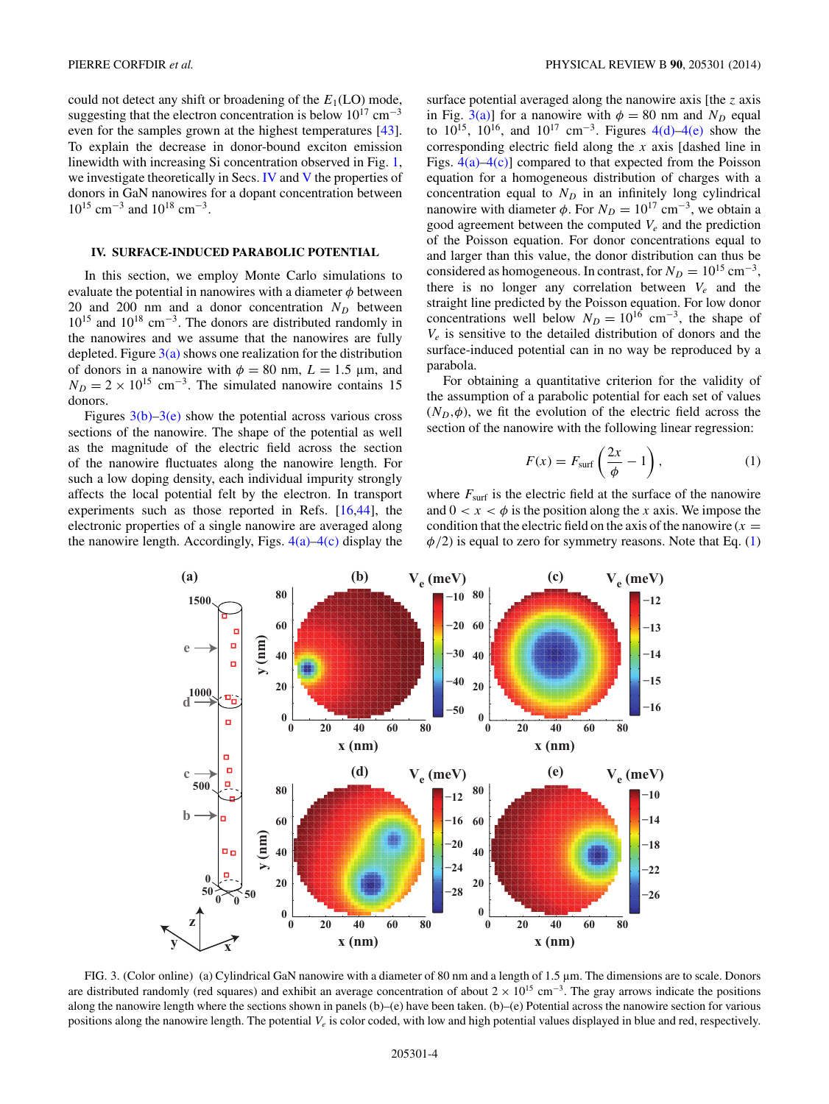<span id="page-3-0"></span>could not detect any shift or broadening of the  $E_1(\text{LO})$  mode, suggesting that the electron concentration is below  $10^{17}$  cm<sup>-3</sup> even for the samples grown at the highest temperatures [\[43\]](#page-8-0). To explain the decrease in donor-bound exciton emission linewidth with increasing Si concentration observed in Fig. [1,](#page-1-0) we investigate theoretically in Secs. IV and [V](#page-5-0) the properties of donors in GaN nanowires for a dopant concentration between  $10^{15}$  cm<sup>-3</sup> and  $10^{18}$  cm<sup>-3</sup>.

#### **IV. SURFACE-INDUCED PARABOLIC POTENTIAL**

In this section, we employ Monte Carlo simulations to evaluate the potential in nanowires with a diameter  $\phi$  between 20 and 200 nm and a donor concentration  $N_D$  between 1015 and 1018 cm<sup>−</sup>3. The donors are distributed randomly in the nanowires and we assume that the nanowires are fully depleted. Figure  $3(a)$  shows one realization for the distribution of donors in a nanowire with  $\phi = 80$  nm,  $L = 1.5$  µm, and  $N_D = 2 \times 10^{15}$  cm<sup>-3</sup>. The simulated nanowire contains 15 donors.

Figures  $3(b)-3(e)$  show the potential across various cross sections of the nanowire. The shape of the potential as well as the magnitude of the electric field across the section of the nanowire fluctuates along the nanowire length. For such a low doping density, each individual impurity strongly affects the local potential felt by the electron. In transport experiments such as those reported in Refs. [\[16,44\]](#page-8-0), the electronic properties of a single nanowire are averaged along the nanowire length. Accordingly, Figs.  $4(a)$ – $4(c)$  display the surface potential averaged along the nanowire axis [the *z* axis in Fig. 3(a)] for a nanowire with  $\phi = 80$  nm and  $N_D$  equal to  $10^{15}$ ,  $10^{16}$ , and  $10^{17}$  cm<sup>-3</sup>. Figures [4\(d\)–4\(e\)](#page-4-0) show the corresponding electric field along the *x* axis [dashed line in Figs.  $4(a) - 4(c)$  compared to that expected from the Poisson equation for a homogeneous distribution of charges with a concentration equal to  $N_D$  in an infinitely long cylindrical nanowire with diameter  $\phi$ . For  $N_D = 10^{17}$  cm<sup>-3</sup>, we obtain a good agreement between the computed  $V_e$  and the prediction of the Poisson equation. For donor concentrations equal to and larger than this value, the donor distribution can thus be considered as homogeneous. In contrast, for  $N_D = 10^{15}$  cm<sup>-3</sup>, there is no longer any correlation between *Ve* and the straight line predicted by the Poisson equation. For low donor concentrations well below  $N_D = 10^{16}$  cm<sup>-3</sup>, the shape of  $V_e$  is sensitive to the detailed distribution of donors and the surface-induced potential can in no way be reproduced by a parabola.

For obtaining a quantitative criterion for the validity of the assumption of a parabolic potential for each set of values  $(N_D, \phi)$ , we fit the evolution of the electric field across the section of the nanowire with the following linear regression:

$$
F(x) = F_{\text{surf}} \left( \frac{2x}{\phi} - 1 \right), \tag{1}
$$

where  $F_{\text{surf}}$  is the electric field at the surface of the nanowire and  $0 < x < \phi$  is the position along the *x* axis. We impose the condition that the electric field on the axis of the nanowire  $(x =$  $\phi/2$ ) is equal to zero for symmetry reasons. Note that Eq. (1)



FIG. 3. (Color online) (a) Cylindrical GaN nanowire with a diameter of 80 nm and a length of 1.5 µm. The dimensions are to scale. Donors are distributed randomly (red squares) and exhibit an average concentration of about  $2 \times 10^{15}$  cm<sup>-3</sup>. The gray arrows indicate the positions along the nanowire length where the sections shown in panels (b)–(e) have been taken. (b)–(e) Potential across the nanowire section for various positions along the nanowire length. The potential *Ve* is color coded, with low and high potential values displayed in blue and red, respectively.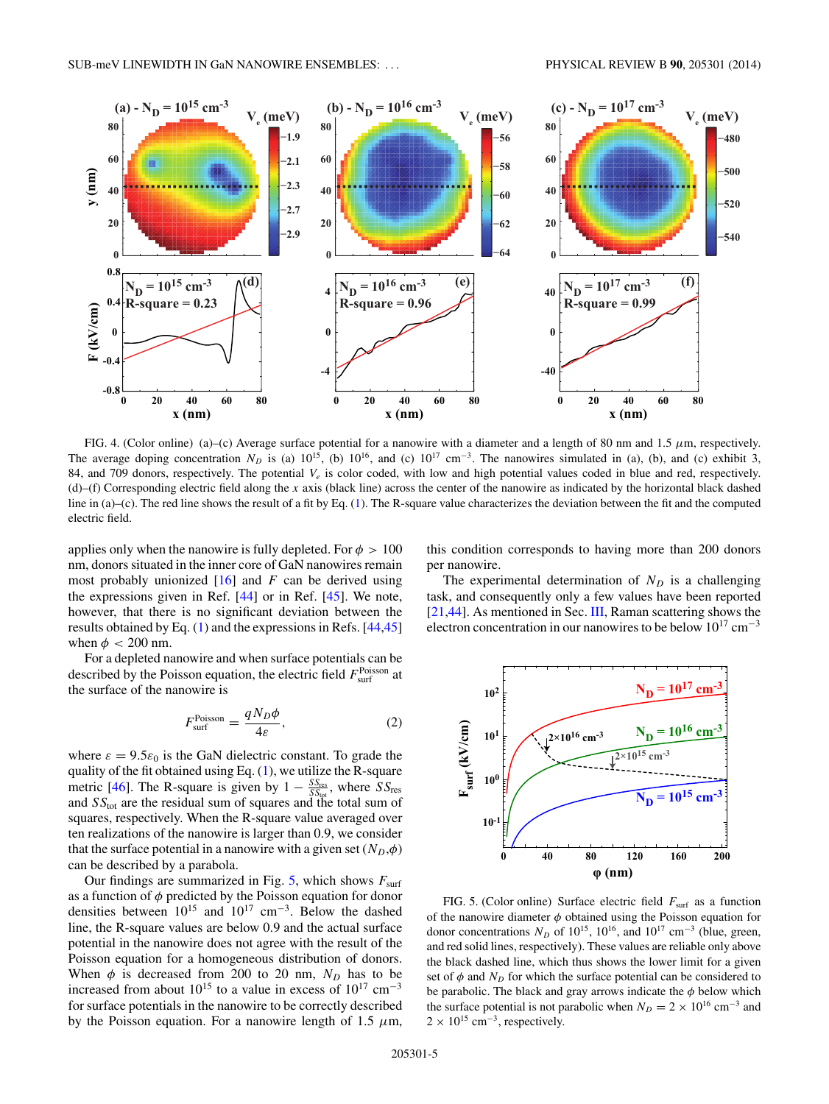<span id="page-4-0"></span>

FIG. 4. (Color online) (a)–(c) Average surface potential for a nanowire with a diameter and a length of 80 nm and 1.5 *μ*m, respectively. The average doping concentration  $N_D$  is (a)  $10^{15}$ , (b)  $10^{16}$ , and (c)  $10^{17}$  cm<sup>-3</sup>. The nanowires simulated in (a), (b), and (c) exhibit 3, 84, and 709 donors, respectively. The potential *Ve* is color coded, with low and high potential values coded in blue and red, respectively. (d)–(f) Corresponding electric field along the *x* axis (black line) across the center of the nanowire as indicated by the horizontal black dashed line in (a)–(c). The red line shows the result of a fit by Eq. [\(1\)](#page-3-0). The R-square value characterizes the deviation between the fit and the computed electric field.

applies only when the nanowire is fully depleted. For  $\phi > 100$ nm, donors situated in the inner core of GaN nanowires remain most probably unionized [\[16\]](#page-8-0) and *F* can be derived using the expressions given in Ref. [\[44\]](#page-8-0) or in Ref. [\[45\]](#page-8-0). We note, however, that there is no significant deviation between the results obtained by Eq. [\(1\)](#page-3-0) and the expressions in Refs. [\[44,45\]](#page-8-0) when  $\phi$  < 200 nm.

For a depleted nanowire and when surface potentials can be described by the Poisson equation, the electric field  $F<sub>surf</sub><sup>Poisson</sup>$  at the surface of the nanowire is

$$
F_{\text{surf}}^{\text{Poisson}} = \frac{qN_D\phi}{4\varepsilon},\tag{2}
$$

where  $\varepsilon = 9.5\varepsilon_0$  is the GaN dielectric constant. To grade the quality of the fit obtained using Eq.  $(1)$ , we utilize the R-square metric [\[46\]](#page-8-0). The R-square is given by  $1 - \frac{SS_{res}}{SS_{tot}}$ , where  $SS_{res}$ and *SS*tot are the residual sum of squares and the total sum of squares, respectively. When the R-square value averaged over ten realizations of the nanowire is larger than 0.9, we consider that the surface potential in a nanowire with a given set  $(N_D, \phi)$ can be described by a parabola.

Our findings are summarized in Fig. 5, which shows  $F_{\text{surf}}$ as a function of *φ* predicted by the Poisson equation for donor densities between  $10^{15}$  and  $10^{17}$  cm<sup>-3</sup>. Below the dashed line, the R-square values are below 0.9 and the actual surface potential in the nanowire does not agree with the result of the Poisson equation for a homogeneous distribution of donors. When  $\phi$  is decreased from 200 to 20 nm,  $N_D$  has to be increased from about  $10^{15}$  to a value in excess of  $10^{17}$  cm<sup>-3</sup> for surface potentials in the nanowire to be correctly described by the Poisson equation. For a nanowire length of 1.5  $\mu$ m, this condition corresponds to having more than 200 donors per nanowire.

The experimental determination of  $N_D$  is a challenging task, and consequently only a few values have been reported [\[21,44\]](#page-8-0). As mentioned in Sec. [III,](#page-1-0) Raman scattering shows the electron concentration in our nanowires to be below  $10^{17}$  cm<sup>-3</sup>



FIG. 5. (Color online) Surface electric field  $F_{\text{surf}}$  as a function of the nanowire diameter *φ* obtained using the Poisson equation for donor concentrations  $N_D$  of  $10^{15}$ ,  $10^{16}$ , and  $10^{17}$  cm<sup>-3</sup> (blue, green, and red solid lines, respectively). These values are reliable only above the black dashed line, which thus shows the lower limit for a given set of  $\phi$  and  $N_D$  for which the surface potential can be considered to be parabolic. The black and gray arrows indicate the *φ* below which the surface potential is not parabolic when  $N_D = 2 \times 10^{16}$  cm<sup>-3</sup> and  $2 \times 10^{15}$  cm<sup>-3</sup>, respectively.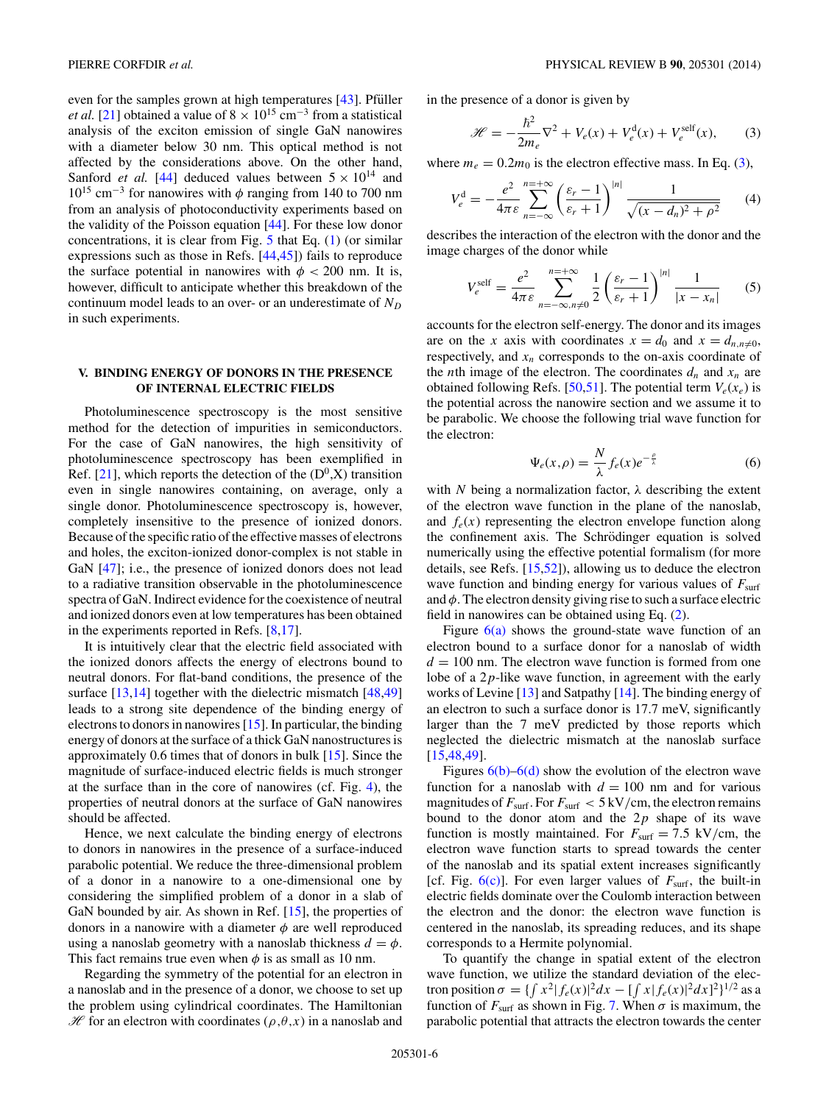<span id="page-5-0"></span>even for the samples grown at high temperatures  $[43]$ . Pfüller *et al.* [\[21\]](#page-8-0) obtained a value of  $8 \times 10^{15}$  cm<sup>-3</sup> from a statistical analysis of the exciton emission of single GaN nanowires with a diameter below 30 nm. This optical method is not affected by the considerations above. On the other hand, Sanford *et al.* [\[44\]](#page-8-0) deduced values between  $5 \times 10^{14}$  and 1015 cm<sup>−</sup><sup>3</sup> for nanowires with *φ* ranging from 140 to 700 nm from an analysis of photoconductivity experiments based on the validity of the Poisson equation [\[44\]](#page-8-0). For these low donor concentrations, it is clear from Fig. [5](#page-4-0) that Eq. [\(1\)](#page-3-0) (or similar expressions such as those in Refs. [\[44,45\]](#page-8-0)) fails to reproduce the surface potential in nanowires with  $\phi$  < 200 nm. It is, however, difficult to anticipate whether this breakdown of the continuum model leads to an over- or an underestimate of  $N_D$ in such experiments.

# **V. BINDING ENERGY OF DONORS IN THE PRESENCE OF INTERNAL ELECTRIC FIELDS**

Photoluminescence spectroscopy is the most sensitive method for the detection of impurities in semiconductors. For the case of GaN nanowires, the high sensitivity of photoluminescence spectroscopy has been exemplified in Ref. [\[21\]](#page-8-0), which reports the detection of the  $(D^0, X)$  transition even in single nanowires containing, on average, only a single donor. Photoluminescence spectroscopy is, however, completely insensitive to the presence of ionized donors. Because of the specific ratio of the effective masses of electrons and holes, the exciton-ionized donor-complex is not stable in GaN  $[47]$ ; i.e., the presence of ionized donors does not lead to a radiative transition observable in the photoluminescence spectra of GaN. Indirect evidence for the coexistence of neutral and ionized donors even at low temperatures has been obtained in the experiments reported in Refs. [\[8](#page-7-0)[,17\]](#page-8-0).

It is intuitively clear that the electric field associated with the ionized donors affects the energy of electrons bound to neutral donors. For flat-band conditions, the presence of the surface [\[13,14\]](#page-7-0) together with the dielectric mismatch [\[48,49\]](#page-8-0) leads to a strong site dependence of the binding energy of electrons to donors in nanowires [\[15\]](#page-8-0). In particular, the binding energy of donors at the surface of a thick GaN nanostructures is approximately 0.6 times that of donors in bulk [\[15\]](#page-8-0). Since the magnitude of surface-induced electric fields is much stronger at the surface than in the core of nanowires (cf. Fig. [4\)](#page-4-0), the properties of neutral donors at the surface of GaN nanowires should be affected.

Hence, we next calculate the binding energy of electrons to donors in nanowires in the presence of a surface-induced parabolic potential. We reduce the three-dimensional problem of a donor in a nanowire to a one-dimensional one by considering the simplified problem of a donor in a slab of GaN bounded by air. As shown in Ref. [\[15\]](#page-8-0), the properties of donors in a nanowire with a diameter  $\phi$  are well reproduced using a nanoslab geometry with a nanoslab thickness  $d = \phi$ . This fact remains true even when  $\phi$  is as small as 10 nm.

Regarding the symmetry of the potential for an electron in a nanoslab and in the presence of a donor, we choose to set up the problem using cylindrical coordinates. The Hamiltonian  $\mathcal H$  for an electron with coordinates ( $\rho, \theta, x$ ) in a nanoslab and in the presence of a donor is given by

$$
\mathcal{H} = -\frac{\hbar^2}{2m_e}\nabla^2 + V_e(x) + V_e^{\text{d}}(x) + V_e^{\text{self}}(x),\tag{3}
$$

where  $m_e = 0.2m_0$  is the electron effective mass. In Eq. (3),

$$
V_e^d = -\frac{e^2}{4\pi\varepsilon} \sum_{n=-\infty}^{n=+\infty} \left(\frac{\varepsilon_r - 1}{\varepsilon_r + 1}\right)^{|n|} \frac{1}{\sqrt{(x - d_n)^2 + \rho^2}} \qquad (4)
$$

describes the interaction of the electron with the donor and the image charges of the donor while

$$
V_e^{\text{self}} = \frac{e^2}{4\pi\varepsilon} \sum_{n=-\infty, n\neq 0}^{n=+\infty} \frac{1}{2} \left(\frac{\varepsilon_r - 1}{\varepsilon_r + 1}\right)^{|n|} \frac{1}{|x - x_n|}
$$
(5)

accounts for the electron self-energy. The donor and its images are on the *x* axis with coordinates  $x = d_0$  and  $x = d_{n,n\neq 0}$ , respectively, and  $x_n$  corresponds to the on-axis coordinate of the *n*th image of the electron. The coordinates  $d_n$  and  $x_n$  are obtained following Refs. [\[50,51\]](#page-8-0). The potential term  $V_e(x_e)$  is the potential across the nanowire section and we assume it to be parabolic. We choose the following trial wave function for the electron:

$$
\Psi_e(x,\rho) = \frac{N}{\lambda} f_e(x) e^{-\frac{\rho}{\lambda}} \tag{6}
$$

with *N* being a normalization factor,  $\lambda$  describing the extent of the electron wave function in the plane of the nanoslab, and  $f_e(x)$  representing the electron envelope function along the confinement axis. The Schrödinger equation is solved numerically using the effective potential formalism (for more details, see Refs. [\[15,52\]](#page-8-0)), allowing us to deduce the electron wave function and binding energy for various values of  $F_{\text{surf}}$ and  $\phi$ . The electron density giving rise to such a surface electric field in nanowires can be obtained using Eq. [\(2\)](#page-4-0).

Figure  $6(a)$  shows the ground-state wave function of an electron bound to a surface donor for a nanoslab of width  $d = 100$  nm. The electron wave function is formed from one lobe of a 2*p*-like wave function, in agreement with the early works of Levine [\[13\]](#page-7-0) and Satpathy [\[14\]](#page-7-0). The binding energy of an electron to such a surface donor is 17.7 meV, significantly larger than the 7 meV predicted by those reports which neglected the dielectric mismatch at the nanoslab surface [\[15,48,49\]](#page-8-0).

Figures  $6(b)$ – $6(d)$  show the evolution of the electron wave function for a nanoslab with  $d = 100$  nm and for various magnitudes of  $F_{\text{surf}}$ . For  $F_{\text{surf}} < 5 \text{ kV/cm}$ , the electron remains bound to the donor atom and the 2*p* shape of its wave function is mostly maintained. For  $F_{\text{surf}} = 7.5 \text{ kV/cm}$ , the electron wave function starts to spread towards the center of the nanoslab and its spatial extent increases significantly [cf. Fig.  $6(c)$ ]. For even larger values of  $F_{\text{surf}}$ , the built-in electric fields dominate over the Coulomb interaction between the electron and the donor: the electron wave function is centered in the nanoslab, its spreading reduces, and its shape corresponds to a Hermite polynomial.

To quantify the change in spatial extent of the electron wave function, we utilize the standard deviation of the electron position  $\sigma = \{ \int x^2 |f_e(x)|^2 dx - \int [f_e(x)]^2 dx \}^{1/2}$  as a function of  $F_{\text{surf}}$  as shown in Fig. [7.](#page-6-0) When  $\sigma$  is maximum, the parabolic potential that attracts the electron towards the center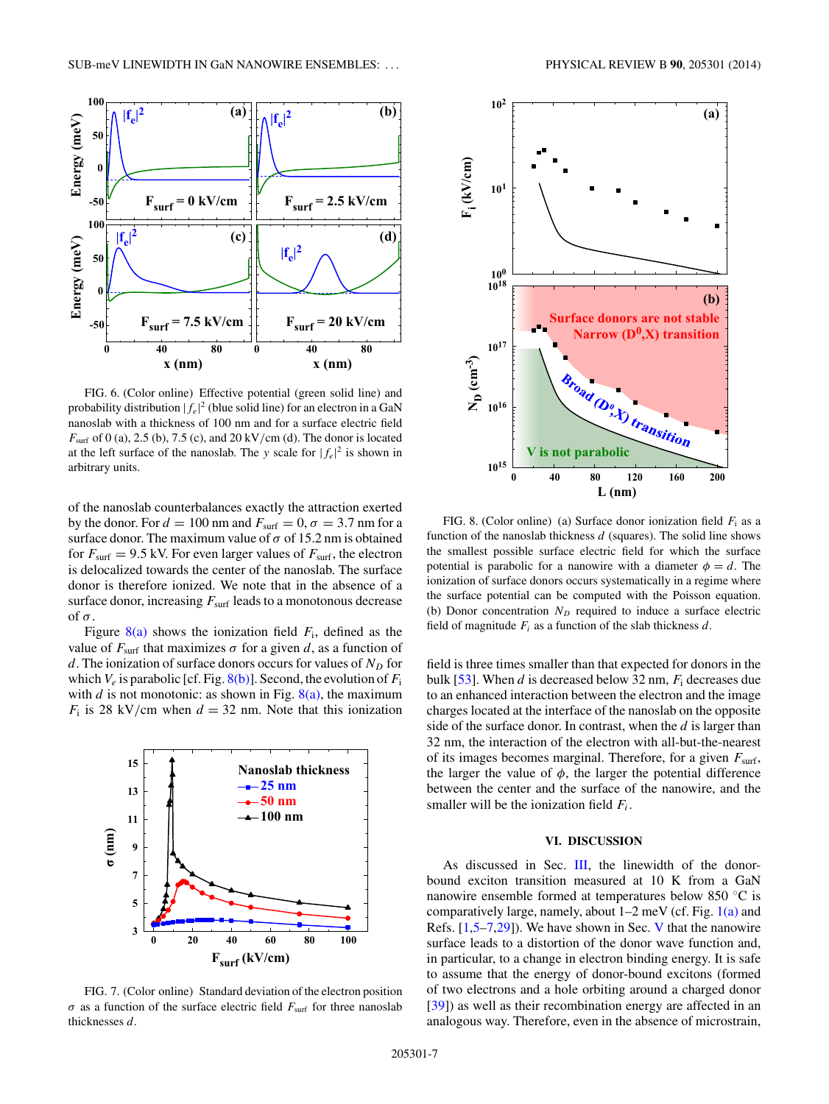<span id="page-6-0"></span>

FIG. 6. (Color online) Effective potential (green solid line) and probability distribution  $|f_e|^2$  (blue solid line) for an electron in a GaN nanoslab with a thickness of 100 nm and for a surface electric field *F*surf of 0 (a), 2.5 (b), 7.5 (c), and 20 kV*/*cm (d). The donor is located at the left surface of the nanoslab. The *y* scale for  $|f_e|^2$  is shown in arbitrary units.

of the nanoslab counterbalances exactly the attraction exerted by the donor. For  $d = 100$  nm and  $F_{\text{surf}} = 0$ ,  $\sigma = 3.7$  nm for a surface donor. The maximum value of  $\sigma$  of 15.2 nm is obtained for  $F_{\text{surf}} = 9.5$  kV. For even larger values of  $F_{\text{surf}}$ , the electron is delocalized towards the center of the nanoslab. The surface donor is therefore ionized. We note that in the absence of a surface donor, increasing  $F_{\text{surf}}$  leads to a monotonous decrease of  $\sigma$ .

Figure  $8(a)$  shows the ionization field  $F_i$ , defined as the value of  $F_{\text{surf}}$  that maximizes  $\sigma$  for a given *d*, as a function of *d*. The ionization of surface donors occurs for values of  $N_D$  for which  $V_e$  is parabolic [cf. Fig.  $8(b)$ ]. Second, the evolution of  $F_i$ with *d* is not monotonic: as shown in Fig.  $8(a)$ , the maximum  $F_i$  is 28 kV/cm when  $d = 32$  nm. Note that this ionization



FIG. 7. (Color online) Standard deviation of the electron position *σ* as a function of the surface electric field  $F_{\text{surf}}$  for three nanoslab thicknesses *d*.



FIG. 8. (Color online) (a) Surface donor ionization field  $F_i$  as a function of the nanoslab thickness *d* (squares). The solid line shows the smallest possible surface electric field for which the surface potential is parabolic for a nanowire with a diameter  $\phi = d$ . The ionization of surface donors occurs systematically in a regime where the surface potential can be computed with the Poisson equation. (b) Donor concentration  $N_D$  required to induce a surface electric field of magnitude  $F_i$  as a function of the slab thickness  $d$ .

field is three times smaller than that expected for donors in the bulk [\[53\]](#page-8-0). When *d* is decreased below 32 nm, *F*<sup>i</sup> decreases due to an enhanced interaction between the electron and the image charges located at the interface of the nanoslab on the opposite side of the surface donor. In contrast, when the *d* is larger than 32 nm, the interaction of the electron with all-but-the-nearest of its images becomes marginal. Therefore, for a given  $F_{\text{surf}}$ , the larger the value of  $\phi$ , the larger the potential difference between the center and the surface of the nanowire, and the smaller will be the ionization field *Fi*.

## **VI. DISCUSSION**

As discussed in Sec. [III,](#page-1-0) the linewidth of the donorbound exciton transition measured at 10 K from a GaN nanowire ensemble formed at temperatures below 850 ◦C is comparatively large, namely, about  $1-2$  meV (cf. Fig.  $1(a)$  and Refs. [\[1,5–7](#page-7-0)[,29\]](#page-8-0)). We have shown in Sec. [V](#page-5-0) that the nanowire surface leads to a distortion of the donor wave function and, in particular, to a change in electron binding energy. It is safe to assume that the energy of donor-bound excitons (formed of two electrons and a hole orbiting around a charged donor [\[39\]](#page-8-0)) as well as their recombination energy are affected in an analogous way. Therefore, even in the absence of microstrain,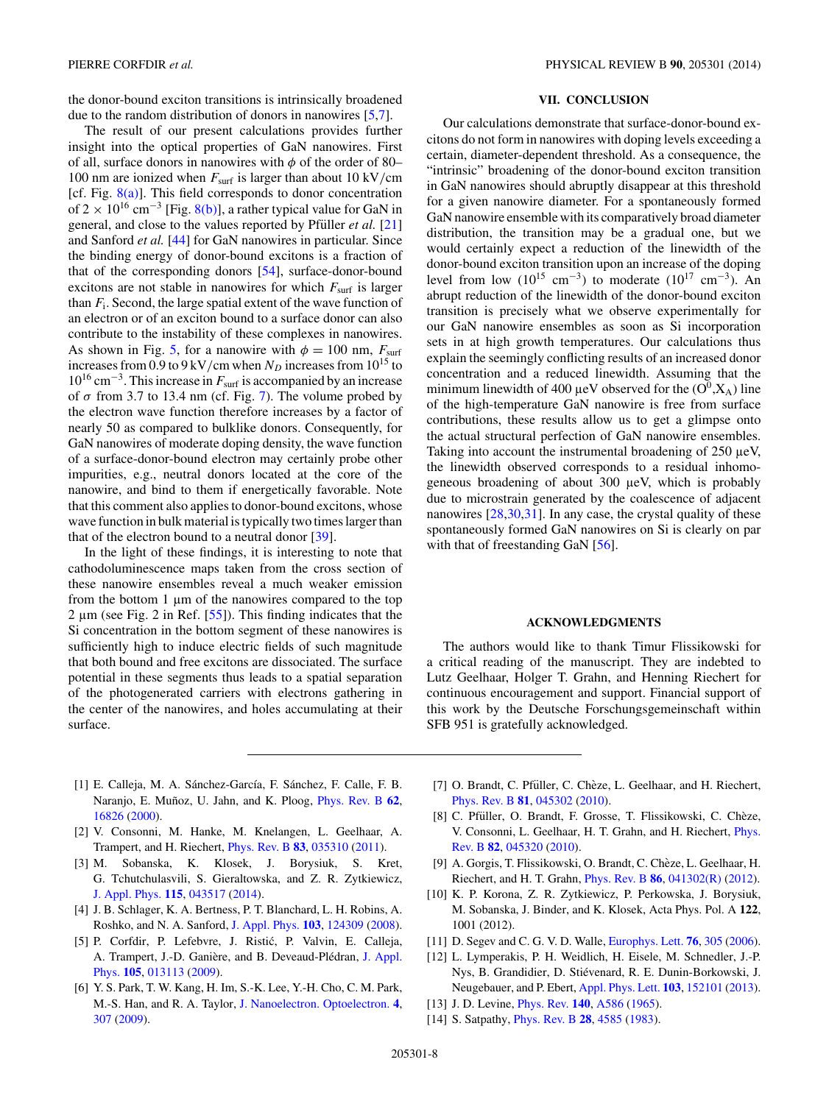<span id="page-7-0"></span>the donor-bound exciton transitions is intrinsically broadened due to the random distribution of donors in nanowires [5,7].

The result of our present calculations provides further insight into the optical properties of GaN nanowires. First of all, surface donors in nanowires with *φ* of the order of 80– 100 nm are ionized when *F*surf is larger than about 10 kV*/*cm [cf. Fig.  $8(a)$ ]. This field corresponds to donor concentration of 2 × 10<sup>16</sup> cm<sup>-3</sup> [Fig. [8\(b\)\]](#page-6-0), a rather typical value for GaN in general, and close to the values reported by Pfüller *et al.* [\[21\]](#page-8-0) and Sanford *et al.* [\[44\]](#page-8-0) for GaN nanowires in particular. Since the binding energy of donor-bound excitons is a fraction of that of the corresponding donors [\[54\]](#page-8-0), surface-donor-bound excitons are not stable in nanowires for which  $F_{\text{surf}}$  is larger than *F*i. Second, the large spatial extent of the wave function of an electron or of an exciton bound to a surface donor can also contribute to the instability of these complexes in nanowires. As shown in Fig. [5,](#page-4-0) for a nanowire with  $\phi = 100$  nm,  $F_{\text{surf}}$ increases from 0.9 to 9 kV/cm when  $N_D$  increases from 10<sup>15</sup> to 1016 cm<sup>−</sup>3. This increase in *F*surf is accompanied by an increase of  $\sigma$  from 3.7 to 13.4 nm (cf. Fig. [7\)](#page-6-0). The volume probed by the electron wave function therefore increases by a factor of nearly 50 as compared to bulklike donors. Consequently, for GaN nanowires of moderate doping density, the wave function of a surface-donor-bound electron may certainly probe other impurities, e.g., neutral donors located at the core of the nanowire, and bind to them if energetically favorable. Note that this comment also applies to donor-bound excitons, whose wave function in bulk material is typically two times larger than that of the electron bound to a neutral donor [\[39\]](#page-8-0).

In the light of these findings, it is interesting to note that cathodoluminescence maps taken from the cross section of these nanowire ensembles reveal a much weaker emission from the bottom 1 µm of the nanowires compared to the top 2  $\mu$ m (see Fig. 2 in Ref. [\[55\]](#page-8-0)). This finding indicates that the Si concentration in the bottom segment of these nanowires is sufficiently high to induce electric fields of such magnitude that both bound and free excitons are dissociated. The surface potential in these segments thus leads to a spatial separation of the photogenerated carriers with electrons gathering in the center of the nanowires, and holes accumulating at their surface.

# **VII. CONCLUSION**

Our calculations demonstrate that surface-donor-bound excitons do not form in nanowires with doping levels exceeding a certain, diameter-dependent threshold. As a consequence, the "intrinsic" broadening of the donor-bound exciton transition in GaN nanowires should abruptly disappear at this threshold for a given nanowire diameter. For a spontaneously formed GaN nanowire ensemble with its comparatively broad diameter distribution, the transition may be a gradual one, but we would certainly expect a reduction of the linewidth of the donor-bound exciton transition upon an increase of the doping level from low ( $10^{15}$  cm<sup>-3</sup>) to moderate ( $10^{17}$  cm<sup>-3</sup>). An abrupt reduction of the linewidth of the donor-bound exciton transition is precisely what we observe experimentally for our GaN nanowire ensembles as soon as Si incorporation sets in at high growth temperatures. Our calculations thus explain the seemingly conflicting results of an increased donor concentration and a reduced linewidth. Assuming that the minimum linewidth of 400  $\mu$ eV observed for the (O<sup>0</sup>,X<sub>A</sub>) line of the high-temperature GaN nanowire is free from surface contributions, these results allow us to get a glimpse onto the actual structural perfection of GaN nanowire ensembles. Taking into account the instrumental broadening of 250  $\mu$ eV, the linewidth observed corresponds to a residual inhomogeneous broadening of about 300 µeV, which is probably due to microstrain generated by the coalescence of adjacent nanowires [\[28,30,31\]](#page-8-0). In any case, the crystal quality of these spontaneously formed GaN nanowires on Si is clearly on par with that of freestanding GaN [\[56\]](#page-8-0).

## **ACKNOWLEDGMENTS**

The authors would like to thank Timur Flissikowski for a critical reading of the manuscript. They are indebted to Lutz Geelhaar, Holger T. Grahn, and Henning Riechert for continuous encouragement and support. Financial support of this work by the Deutsche Forschungsgemeinschaft within SFB 951 is gratefully acknowledged.

- [1] E. Calleja, M. A. Sánchez-García, F. Sánchez, F. Calle, F. B. Naranjo, E. Muñoz, U. Jahn, and K. Ploog, *[Phys. Rev. B](http://dx.doi.org/10.1103/PhysRevB.62.16826)* [62](http://dx.doi.org/10.1103/PhysRevB.62.16826), [16826](http://dx.doi.org/10.1103/PhysRevB.62.16826) [\(2000\)](http://dx.doi.org/10.1103/PhysRevB.62.16826).
- [2] V. Consonni, M. Hanke, M. Knelangen, L. Geelhaar, A. Trampert, and H. Riechert, [Phys. Rev. B](http://dx.doi.org/10.1103/PhysRevB.83.035310) **[83](http://dx.doi.org/10.1103/PhysRevB.83.035310)**, [035310](http://dx.doi.org/10.1103/PhysRevB.83.035310) [\(2011\)](http://dx.doi.org/10.1103/PhysRevB.83.035310).
- [3] M. Sobanska, K. Klosek, J. Borysiuk, S. Kret, G. Tchutchulasvili, S. Gieraltowska, and Z. R. Zytkiewicz, [J. Appl. Phys.](http://dx.doi.org/10.1063/1.4863456) **[115](http://dx.doi.org/10.1063/1.4863456)**, [043517](http://dx.doi.org/10.1063/1.4863456) [\(2014\)](http://dx.doi.org/10.1063/1.4863456).
- [4] J. B. Schlager, K. A. Bertness, P. T. Blanchard, L. H. Robins, A. Roshko, and N. A. Sanford, [J. Appl. Phys.](http://dx.doi.org/10.1063/1.2940732) **[103](http://dx.doi.org/10.1063/1.2940732)**, [124309](http://dx.doi.org/10.1063/1.2940732) [\(2008\)](http://dx.doi.org/10.1063/1.2940732).
- [5] P. Corfdir, P. Lefebvre, J. Ristic, P. Valvin, E. Calleja, ´ A. Trampert, J.-D. Ganière, and B. Deveaud-Plédran, J. Appl. Phys. **[105](http://dx.doi.org/10.1063/1.3062742)**, [013113](http://dx.doi.org/10.1063/1.3062742) [\(2009\)](http://dx.doi.org/10.1063/1.3062742).
- [6] Y. S. Park, T. W. Kang, H. Im, S.-K. Lee, Y.-H. Cho, C. M. Park, M.-S. Han, and R. A. Taylor, [J. Nanoelectron. Optoelectron.](http://dx.doi.org/10.1166/jno.2009.1044) **[4](http://dx.doi.org/10.1166/jno.2009.1044)**, [307](http://dx.doi.org/10.1166/jno.2009.1044) [\(2009\)](http://dx.doi.org/10.1166/jno.2009.1044).
- [7] O. Brandt, C. Pfüller, C. Chèze, L. Geelhaar, and H. Riechert, [Phys. Rev. B](http://dx.doi.org/10.1103/PhysRevB.81.045302) **[81](http://dx.doi.org/10.1103/PhysRevB.81.045302)**, [045302](http://dx.doi.org/10.1103/PhysRevB.81.045302) [\(2010\)](http://dx.doi.org/10.1103/PhysRevB.81.045302).
- [8] C. Pfüller, O. Brandt, F. Grosse, T. Flissikowski, C. Chèze, [V. Consonni, L. Geelhaar, H. T. Grahn, and H. Riechert,](http://dx.doi.org/10.1103/PhysRevB.82.045320) Phys. Rev. B **[82](http://dx.doi.org/10.1103/PhysRevB.82.045320)**, [045320](http://dx.doi.org/10.1103/PhysRevB.82.045320) [\(2010\)](http://dx.doi.org/10.1103/PhysRevB.82.045320).
- [9] A. Gorgis, T. Flissikowski, O. Brandt, C. Cheze, L. Geelhaar, H. ` Riechert, and H. T. Grahn, [Phys. Rev. B](http://dx.doi.org/10.1103/PhysRevB.86.041302) **[86](http://dx.doi.org/10.1103/PhysRevB.86.041302)**, [041302\(R\)](http://dx.doi.org/10.1103/PhysRevB.86.041302) [\(2012\)](http://dx.doi.org/10.1103/PhysRevB.86.041302).
- [10] K. P. Korona, Z. R. Zytkiewicz, P. Perkowska, J. Borysiuk, M. Sobanska, J. Binder, and K. Klosek, Acta Phys. Pol. A **122**, 1001 (2012).
- [11] D. Segev and C. G. V. D. Walle, [Europhys. Lett.](http://dx.doi.org/10.1209/epl/i2006-10250-2) **[76](http://dx.doi.org/10.1209/epl/i2006-10250-2)**, [305](http://dx.doi.org/10.1209/epl/i2006-10250-2) [\(2006\)](http://dx.doi.org/10.1209/epl/i2006-10250-2).
- [12] L. Lymperakis, P. H. Weidlich, H. Eisele, M. Schnedler, J.-P. Nys, B. Grandidier, D. Stievenard, R. E. Dunin-Borkowski, J. ´ Neugebauer, and P. Ebert, [Appl. Phys. Lett.](http://dx.doi.org/10.1063/1.4823723) **[103](http://dx.doi.org/10.1063/1.4823723)**, [152101](http://dx.doi.org/10.1063/1.4823723) [\(2013\)](http://dx.doi.org/10.1063/1.4823723).
- [13] J. D. Levine, [Phys. Rev.](http://dx.doi.org/10.1103/PhysRev.140.A586) **[140](http://dx.doi.org/10.1103/PhysRev.140.A586)**, [A586](http://dx.doi.org/10.1103/PhysRev.140.A586) [\(1965\)](http://dx.doi.org/10.1103/PhysRev.140.A586).
- [14] S. Satpathy, [Phys. Rev. B](http://dx.doi.org/10.1103/PhysRevB.28.4585) **[28](http://dx.doi.org/10.1103/PhysRevB.28.4585)**, [4585](http://dx.doi.org/10.1103/PhysRevB.28.4585) [\(1983\)](http://dx.doi.org/10.1103/PhysRevB.28.4585).